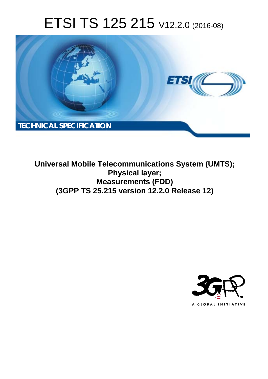# ETSI TS 125 215 V12.2.0 (2016-08)



**Universal Mobile Tel elecommunications System ( (UMTS); Mea easurements (FDD) (3GPP TS 25.2 .215 version 12.2.0 Release 12 12) Physical layer;** 

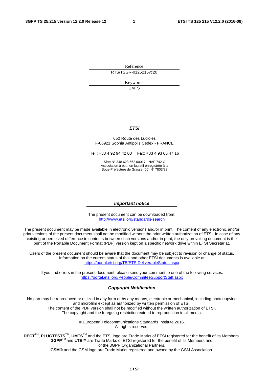Reference RTS/TSGR-0125215vc20

> Keywords UMTS

#### *ETSI*

#### 650 Route des Lucioles F-06921 Sophia Antipolis Cedex - FRANCE

Tel.: +33 4 92 94 42 00 Fax: +33 4 93 65 47 16

Siret N° 348 623 562 00017 - NAF 742 C Association à but non lucratif enregistrée à la Sous-Préfecture de Grasse (06) N° 7803/88

#### *Important notice*

The present document can be downloaded from: <http://www.etsi.org/standards-search>

The present document may be made available in electronic versions and/or in print. The content of any electronic and/or print versions of the present document shall not be modified without the prior written authorization of ETSI. In case of any existing or perceived difference in contents between such versions and/or in print, the only prevailing document is the print of the Portable Document Format (PDF) version kept on a specific network drive within ETSI Secretariat.

Users of the present document should be aware that the document may be subject to revision or change of status. Information on the current status of this and other ETSI documents is available at <https://portal.etsi.org/TB/ETSIDeliverableStatus.aspx>

If you find errors in the present document, please send your comment to one of the following services: <https://portal.etsi.org/People/CommiteeSupportStaff.aspx>

#### *Copyright Notification*

No part may be reproduced or utilized in any form or by any means, electronic or mechanical, including photocopying and microfilm except as authorized by written permission of ETSI.

The content of the PDF version shall not be modified without the written authorization of ETSI. The copyright and the foregoing restriction extend to reproduction in all media.

> © European Telecommunications Standards Institute 2016. All rights reserved.

**DECT**TM, **PLUGTESTS**TM, **UMTS**TM and the ETSI logo are Trade Marks of ETSI registered for the benefit of its Members. **3GPP**TM and **LTE**™ are Trade Marks of ETSI registered for the benefit of its Members and of the 3GPP Organizational Partners.

**GSM**® and the GSM logo are Trade Marks registered and owned by the GSM Association.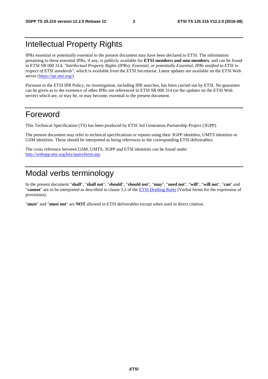## Intellectual Property Rights

IPRs essential or potentially essential to the present document may have been declared to ETSI. The information pertaining to these essential IPRs, if any, is publicly available for **ETSI members and non-members**, and can be found in ETSI SR 000 314: *"Intellectual Property Rights (IPRs); Essential, or potentially Essential, IPRs notified to ETSI in respect of ETSI standards"*, which is available from the ETSI Secretariat. Latest updates are available on the ETSI Web server [\(https://ipr.etsi.org/](https://ipr.etsi.org/)).

Pursuant to the ETSI IPR Policy, no investigation, including IPR searches, has been carried out by ETSI. No guarantee can be given as to the existence of other IPRs not referenced in ETSI SR 000 314 (or the updates on the ETSI Web server) which are, or may be, or may become, essential to the present document.

### Foreword

This Technical Specification (TS) has been produced by ETSI 3rd Generation Partnership Project (3GPP).

The present document may refer to technical specifications or reports using their 3GPP identities, UMTS identities or GSM identities. These should be interpreted as being references to the corresponding ETSI deliverables.

The cross reference between GSM, UMTS, 3GPP and ETSI identities can be found under [http://webapp.etsi.org/key/queryform.asp.](http://webapp.etsi.org/key/queryform.asp)

## Modal verbs terminology

In the present document "**shall**", "**shall not**", "**should**", "**should not**", "**may**", "**need not**", "**will**", "**will not**", "**can**" and "**cannot**" are to be interpreted as described in clause 3.2 of the [ETSI Drafting Rules](https://portal.etsi.org/Services/editHelp!/Howtostart/ETSIDraftingRules.aspx) (Verbal forms for the expression of provisions).

"**must**" and "**must not**" are **NOT** allowed in ETSI deliverables except when used in direct citation.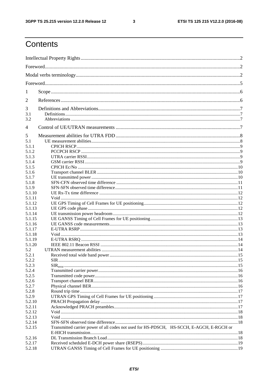$\mathbf{3}$ 

## Contents

| 1          |                                                                                          |  |
|------------|------------------------------------------------------------------------------------------|--|
| 2          |                                                                                          |  |
| 3          |                                                                                          |  |
| 3.1<br>3.2 |                                                                                          |  |
|            |                                                                                          |  |
| 4          |                                                                                          |  |
| 5          |                                                                                          |  |
| 5.1        |                                                                                          |  |
| 5.1.1      |                                                                                          |  |
| 5.1.2      |                                                                                          |  |
| 5.1.3      |                                                                                          |  |
| 5.1.4      |                                                                                          |  |
| 5.1.5      |                                                                                          |  |
| 5.1.6      |                                                                                          |  |
| 5.1.7      |                                                                                          |  |
| 5.1.8      |                                                                                          |  |
| 5.1.9      |                                                                                          |  |
| 5.1.10     |                                                                                          |  |
| 5.1.11     |                                                                                          |  |
| 5.1.12     |                                                                                          |  |
| 5.1.13     |                                                                                          |  |
| 5.1.14     |                                                                                          |  |
| 5.1.15     |                                                                                          |  |
| 5.1.16     |                                                                                          |  |
| 5.1.17     |                                                                                          |  |
| 5.1.18     |                                                                                          |  |
| 5.1.19     |                                                                                          |  |
| 5.1.20     |                                                                                          |  |
| 5.2        |                                                                                          |  |
| 5.2.1      |                                                                                          |  |
| 5.2.2      |                                                                                          |  |
| 5.2.3      |                                                                                          |  |
| 5.2.4      |                                                                                          |  |
| 5.2.5      |                                                                                          |  |
| 5.2.6      |                                                                                          |  |
| 5.2.7      |                                                                                          |  |
| 5.2.8      |                                                                                          |  |
| 5.2.9      |                                                                                          |  |
| 5.2.10     |                                                                                          |  |
| 5.2.11     |                                                                                          |  |
| 5.2.12     |                                                                                          |  |
| 5.2.13     |                                                                                          |  |
| 5.2.14     |                                                                                          |  |
| 5.2.15     | Transmitted carrier power of all codes not used for HS-PDSCH, HS-SCCH, E-AGCH, E-RGCH or |  |
|            |                                                                                          |  |
| 5.2.16     |                                                                                          |  |
| 5.2.17     |                                                                                          |  |
| 5.2.18     |                                                                                          |  |
|            |                                                                                          |  |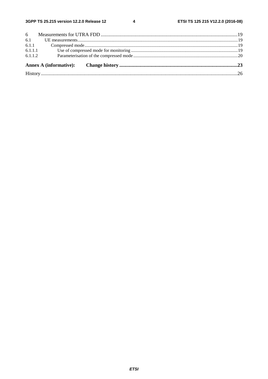$\overline{\mathbf{4}}$ 

|  | 6.1.1.2 |  |  |
|--|---------|--|--|
|  | 6.1.1.1 |  |  |
|  |         |  |  |
|  |         |  |  |
|  |         |  |  |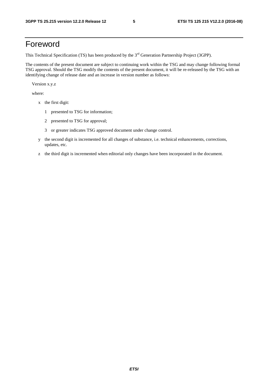### Foreword

This Technical Specification (TS) has been produced by the 3<sup>rd</sup> Generation Partnership Project (3GPP).

The contents of the present document are subject to continuing work within the TSG and may change following formal TSG approval. Should the TSG modify the contents of the present document, it will be re-released by the TSG with an identifying change of release date and an increase in version number as follows:

Version x.y.z

where:

- x the first digit:
	- 1 presented to TSG for information;
	- 2 presented to TSG for approval;
	- 3 or greater indicates TSG approved document under change control.
- y the second digit is incremented for all changes of substance, i.e. technical enhancements, corrections, updates, etc.
- z the third digit is incremented when editorial only changes have been incorporated in the document.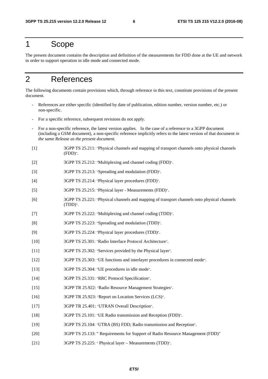### 1 Scope

The present document contains the description and definition of the measurements for FDD done at the UE and network in order to support operation in idle mode and connected mode.

## 2 References

The following documents contain provisions which, through reference in this text, constitute provisions of the present document.

- References are either specific (identified by date of publication, edition number, version number, etc.) or non-specific.
- For a specific reference, subsequent revisions do not apply.
- For a non-specific reference, the latest version applies. In the case of a reference to a 3GPP document (including a GSM document), a non-specific reference implicitly refers to the latest version of that document *in the same Release as the present document*.
- [1] 3GPP TS 25.211: "Physical channels and mapping of transport channels onto physical channels (FDD)".
- [2] 3GPP TS 25.212: "Multiplexing and channel coding (FDD)".
- [3] 3GPP TS 25.213: "Spreading and modulation (FDD)".
- [4] 3GPP TS 25.214: "Physical layer procedures (FDD)".
- [5] 3GPP TS 25.215: "Physical layer Measurements (FDD)".
- [6] 3GPP TS 25.221: "Physical channels and mapping of transport channels onto physical channels (TDD)".
- [7] 3GPP TS 25.222: "Multiplexing and channel coding (TDD)".
- [8] 3GPP TS 25.223: "Spreading and modulation (TDD)".
- [9] 3GPP TS 25.224: "Physical layer procedures (TDD)".
- [10] 3GPP TS 25.301: "Radio Interface Protocol Architecture".
- [11] 3GPP TS 25.302: "Services provided by the Physical layer".
- [12] 3GPP TS 25.303: "UE functions and interlayer procedures in connected mode".
- [13] 3GPP TS 25.304: "UE procedures in idle mode".
- [14] 3GPP TS 25.331: "RRC Protocol Specification".
- [15] 3GPP TR 25.922: "Radio Resource Management Strategies".
- [16] 3GPP TR 25.923: "Report on Location Services (LCS)".
- [17] 3GPP TR 25.401: "UTRAN Overall Description".
- [18] 3GPP TS 25.101: "UE Radio transmission and Reception (FDD)".
- [19] 3GPP TS 25.104: "UTRA (BS) FDD; Radio transmission and Reception".
- [20] 3GPP TS 25.133: " Requirements for Support of Radio Resource Management (FDD)"
- [21] 3GPP TS 25.225: " Physical layer Measurements (TDD)".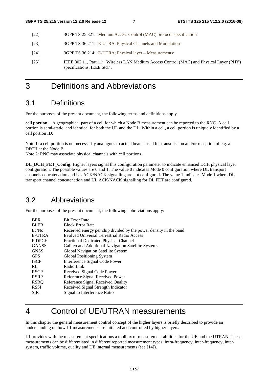- [22] 3GPP TS 25.321: "Medium Access Control (MAC) protocol specification"
- [23] 3GPP TS 36.211: "E-UTRA; Physical Channels and Modulation"
- [24] 3GPP TS 36.214: "E-UTRA; Physical layer Measurements"
- [25] IEEE 802.11, Part 11: "Wireless LAN Medium Access Control (MAC) and Physical Layer (PHY) specifications, IEEE Std.".
- 3 Definitions and Abbreviations

#### 3.1 Definitions

For the purposes of the present document, the following terms and definitions apply.

**cell portion**: A geographical part of a cell for which a Node B measurement can be reported to the RNC. A cell portion is semi-static, and identical for both the UL and the DL. Within a cell, a cell portion is uniquely identified by a cell portion ID.

Note 1: a cell portion is not necessarily analogous to actual beams used for transmission and/or reception of e.g. a DPCH at the Node B.

Note 2: RNC may associate physical channels with cell portions.

**DL\_DCH\_FET\_Config**: Higher layers signal this configuration parameter to indicate enhanced DCH physical layer configuration. The possible values are 0 and 1. The value 0 indicates Mode 0 configuration where DL transport channels concatenation and UL ACK/NACK signalling are not configured. The value 1 indicates Mode 1 where DL transport channel concatenation and UL ACK/NACK signalling for DL FET are configured.

#### 3.2 Abbreviations

For the purposes of the present document, the following abbreviations apply:

| <b>BER</b>   | <b>Bit Error Rate</b>                                             |
|--------------|-------------------------------------------------------------------|
| <b>BLER</b>  | <b>Block Error Rate</b>                                           |
| Ec/No        | Received energy per chip divided by the power density in the band |
| E-UTRA       | <b>Evolved Universal Terrestrial Radio Access</b>                 |
| F-DPCH       | <b>Fractional Dedicated Physical Channel</b>                      |
| <b>GANSS</b> | Galileo and Additional Navigation Satellite Systems               |
| <b>GNSS</b>  | Global Navigation Satellite System                                |
| <b>GPS</b>   | Global Positioning System                                         |
| <b>ISCP</b>  | Interference Signal Code Power                                    |
| RL.          | Radio Link                                                        |
| <b>RSCP</b>  | Received Signal Code Power                                        |
| <b>RSRP</b>  | Reference Signal Received Power                                   |
| <b>RSRO</b>  | Reference Signal Received Quality                                 |
| <b>RSSI</b>  | Received Signal Strength Indicator                                |
| <b>SIR</b>   | Signal to Interference Ratio                                      |

## 4 Control of UE/UTRAN measurements

In this chapter the general measurement control concept of the higher layers is briefly described to provide an understanding on how L1 measurements are initiated and controlled by higher layers.

L1 provides with the measurement specifications a toolbox of measurement abilities for the UE and the UTRAN. These measurements can be differentiated in different reported measurement types: intra-frequency, inter-frequency, intersystem, traffic volume, quality and UE internal measurements (see [14]).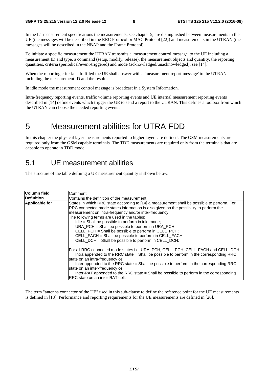In the L1 measurement specifications the measurements, see chapter 5, are distinguished between measurements in the UE (the messages will be described in the RRC Protocol or MAC Protocol [22]) and measurements in the UTRAN (the messages will be described in the NBAP and the Frame Protocol).

To initiate a specific measurement the UTRAN transmits a 'measurement control message' to the UE including a measurement ID and type, a command (setup, modify, release), the measurement objects and quantity, the reporting quantities, criteria (periodical/event-triggered) and mode (acknowledged/unacknowledged), see [14].

When the reporting criteria is fulfilled the UE shall answer with a 'measurement report message' to the UTRAN including the measurement ID and the results.

In idle mode the measurement control message is broadcast in a System Information.

Intra-frequency reporting events, traffic volume reporting events and UE internal measurement reporting events described in [14] define events which trigger the UE to send a report to the UTRAN. This defines a toolbox from which the UTRAN can choose the needed reporting events.

### 5 Measurement abilities for UTRA FDD

In this chapter the physical layer measurements reported to higher layers are defined. The GSM measurements are required only from the GSM capable terminals. The TDD measurements are required only from the terminals that are capable to operate in TDD mode.

#### 5.1 UE measurement abilities

The structure of the table defining a UE measurement quantity is shown below.

| Column field          | Comment                                                                                                                                                                                                                                                                                                                                                                                                                                                                                                                                                                            |
|-----------------------|------------------------------------------------------------------------------------------------------------------------------------------------------------------------------------------------------------------------------------------------------------------------------------------------------------------------------------------------------------------------------------------------------------------------------------------------------------------------------------------------------------------------------------------------------------------------------------|
| <b>Definition</b>     | Contains the definition of the measurement.                                                                                                                                                                                                                                                                                                                                                                                                                                                                                                                                        |
| <b>Applicable for</b> | States in which RRC state according to [14] a measurement shall be possible to perform. For<br>RRC connected mode states information is also given on the possibility to perform the<br>measurement on intra-frequency and/or inter-frequency.<br>The following terms are used in the tables:<br>Idle = Shall be possible to perform in idle mode;<br>URA_PCH = Shall be possible to perform in URA_PCH;<br>CELL_PCH = Shall be possible to perform in CELL_PCH;<br>CELL_FACH = Shall be possible to perform in CELL_FACH;<br>CELL_DCH = Shall be possible to perform in CELL_DCH; |
|                       | For all RRC connected mode states i.e. URA_PCH, CELL_PCH, CELL_FACH and CELL_DCH<br>Intra appended to the RRC state = Shall be possible to perform in the corresponding RRC<br>state on an intra-frequency cell;<br>Inter appended to the RRC state = Shall be possible to perform in the corresponding RRC<br>state on an inter-frequency cell.<br>Inter-RAT appended to the RRC state = Shall be possible to perform in the corresponding<br>RRC state on an inter-RAT cell.                                                                                                     |

The term "antenna connector of the UE" used in this sub-clause to define the reference point for the UE measurements is defined in [18]. Performance and reporting requirements for the UE measurements are defined in [20].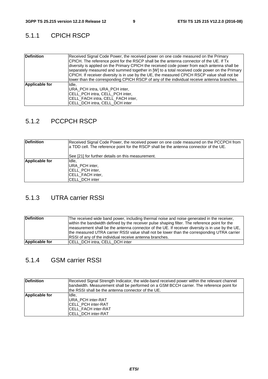#### 5.1.1 CPICH RSCP

| <b>Definition</b> | Received Signal Code Power, the received power on one code measured on the Primary<br>CPICH. The reference point for the RSCP shall be the antenna connector of the UE. If Tx<br>diversity is applied on the Primary CPICH the received code power from each antenna shall be<br>separately measured and summed together in [W] to a total received code power on the Primary<br>CPICH. If receiver diversity is in use by the UE, the measured CPICH RSCP value shall not be<br>lower than the corresponding CPICH RSCP of any of the individual receive antenna branches. |
|-------------------|-----------------------------------------------------------------------------------------------------------------------------------------------------------------------------------------------------------------------------------------------------------------------------------------------------------------------------------------------------------------------------------------------------------------------------------------------------------------------------------------------------------------------------------------------------------------------------|
| Applicable for    | Ildle.<br>URA PCH intra, URA PCH inter,<br><b>CELL PCH intra, CELL PCH inter,</b><br><b>ICELL FACH intra, CELL FACH inter,</b><br>CELL_DCH intra, CELL_DCH inter                                                                                                                                                                                                                                                                                                                                                                                                            |

#### 5.1.2 PCCPCH RSCP

| <b>Definition</b> | Received Signal Code Power, the received power on one code measured on the PCCPCH from<br>a TDD cell. The reference point for the RSCP shall be the antenna connector of the UE. |
|-------------------|----------------------------------------------------------------------------------------------------------------------------------------------------------------------------------|
|                   | See [21] for further details on this measurement.                                                                                                                                |
| Applicable for    | IIdle,                                                                                                                                                                           |
|                   | URA PCH inter,                                                                                                                                                                   |
|                   | <b>CELL PCH inter,</b>                                                                                                                                                           |
|                   | <b>CELL FACH inter,</b>                                                                                                                                                          |
|                   | <b>CELL DCH inter</b>                                                                                                                                                            |

#### 5.1.3 UTRA carrier RSSI

| <b>Definition</b>     | The received wide band power, including thermal noise and noise generated in the receiver,        |
|-----------------------|---------------------------------------------------------------------------------------------------|
|                       | within the bandwidth defined by the receiver pulse shaping filter. The reference point for the    |
|                       | Imeasurement shall be the antenna connector of the UE. If receiver diversity is in use by the UE, |
|                       | the measured UTRA carrier RSSI value shall not be lower than the corresponding UTRA carrier       |
|                       | RSSI of any of the individual receive antenna branches.                                           |
| <b>Applicable for</b> | <b>ICELL DCH intra, CELL DCH inter</b>                                                            |

#### 5.1.4 GSM carrier RSSI

| <b>Definition</b> | Received Signal Strength Indicator, the wide-band received power within the relevant channel<br>bandwidth. Measurement shall be performed on a GSM BCCH carrier. The reference point for<br>the RSSI shall be the antenna connector of the UE. |
|-------------------|------------------------------------------------------------------------------------------------------------------------------------------------------------------------------------------------------------------------------------------------|
| Applicable for    | IIdle.<br><b>URA PCH inter-RAT</b><br><b>CELL PCH inter-RAT</b><br><b>CELL FACH inter-RAT</b><br>ICELL DCH inter-RAT                                                                                                                           |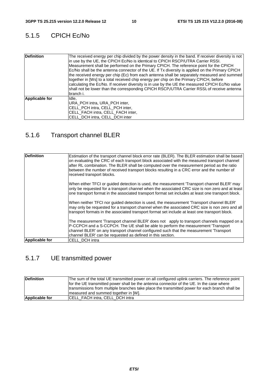### 5.1.5 CPICH Ec/No

| <b>Definition</b>     | The received energy per chip divided by the power density in the band. If receiver diversity is not<br>in use by the UE, the CPICH Ec/No is identical to CPICH RSCP/UTRA Carrier RSSI.<br>Measurement shall be performed on the Primary CPICH. The reference point for the CPICH<br>Ec/No shall be the antenna connector of the UE. If Tx diversity is applied on the Primary CPICH<br>the received energy per chip (Ec) from each antenna shall be separately measured and summed<br>together in [Ws] to a total received chip energy per chip on the Primary CPICH, before<br>calculating the Ec/No. If receiver diversity is in use by the UE the measured CPICH Ec/No value<br>shall not be lower than the corresponding CPICH RSCP/UTRA Carrier RSSI, of receive antenna<br>branch i. |
|-----------------------|--------------------------------------------------------------------------------------------------------------------------------------------------------------------------------------------------------------------------------------------------------------------------------------------------------------------------------------------------------------------------------------------------------------------------------------------------------------------------------------------------------------------------------------------------------------------------------------------------------------------------------------------------------------------------------------------------------------------------------------------------------------------------------------------|
| <b>Applicable for</b> | Idle.<br>URA PCH intra, URA PCH inter,<br>ICELL PCH intra, CELL PCH inter,<br>CELL_FACH intra, CELL_FACH inter,<br>CELL_DCH intra, CELL_DCH inter                                                                                                                                                                                                                                                                                                                                                                                                                                                                                                                                                                                                                                          |

### 5.1.6 Transport channel BLER

| <b>Definition</b>     | Estimation of the transport channel block error rate (BLER). The BLER estimation shall be based<br>on evaluating the CRC of each transport block associated with the measured transport channel<br>after RL combination. The BLER shall be computed over the measurement period as the ratio<br>between the number of received transport blocks resulting in a CRC error and the number of<br>received transport blocks. |
|-----------------------|--------------------------------------------------------------------------------------------------------------------------------------------------------------------------------------------------------------------------------------------------------------------------------------------------------------------------------------------------------------------------------------------------------------------------|
|                       | When either TFCI or quided detection is used, the measurement 'Transport channel BLER' may<br>only be requested for a transport channel when the associated CRC size is non zero and at least<br>one transport format in the associated transport format set includes at least one transport block.                                                                                                                      |
|                       | When neither TFCI nor quided detection is used, the measurement 'Transport channel BLER'<br>may only be requested for a transport channel when the associated CRC size is non zero and all<br>transport formats in the associated transport format set include at least one transport block.                                                                                                                             |
|                       | The measurement 'Transport channel BLER' does not apply to transport channels mapped on a<br>P-CCPCH and a S-CCPCH. The UE shall be able to perform the measurement 'Transport<br>channel BLER' on any transport channel configured such that the measurement 'Transport'                                                                                                                                                |
| <b>Applicable for</b> | channel BLER' can be requested as defined in this section.<br>CELL DCH intra                                                                                                                                                                                                                                                                                                                                             |

### 5.1.7 UE transmitted power

| Definition            | The sum of the total UE transmitted power on all configured uplink carriers. The reference point<br>for the UE transmitted power shall be the antenna connector of the UE. In the case where<br>transmissions from multiple branches take place the transmitted power for each branch shall be<br>measured and summed together in [W]. |
|-----------------------|----------------------------------------------------------------------------------------------------------------------------------------------------------------------------------------------------------------------------------------------------------------------------------------------------------------------------------------|
| <b>Applicable for</b> | <b>CELL FACH intra, CELL DCH intra</b>                                                                                                                                                                                                                                                                                                 |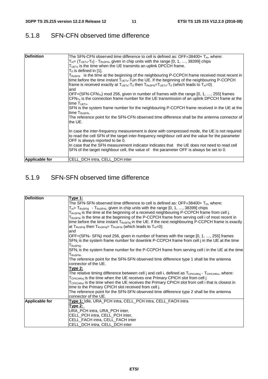#### 5.1.8 SFN-CFN observed time difference

| <b>Definition</b> | The SFN-CFN observed time difference to cell is defined as: OFF $\times$ 38400+ T <sub>m</sub> , where:<br>$T_{m=}$ (T <sub>UETx</sub> -T <sub>0</sub> ) - T <sub>RxSFN</sub> , given in chip units with the range [0, 1, , 38399] chips<br>$TUETx$ is the time when the UE transmits an uplink DPCCH frame.<br>$T_0$ is defined in [1].<br>$T_{RxSFN}$ is the time at the beginning of the neighbouring P-CCPCH frame received most recent in<br>time before the time instant $T_{\text{UET}x}$ - $T_{\text{o}}$ in the UE. If the beginning of the neighbouring P-CCPCH<br>frame is received exactly at $T_{UETx}$ - $T_0$ then $T_{RxSFN}$ = $T_{UETx}$ - $T_0$ (which leads to $T_m$ =0)<br>and<br>OFF=(SFN-CFN <sub>Tx</sub> ) mod 256, given in number of frames with the range [0, 1, , 255] frames<br>$CFNTx$ is the connection frame number for the UE transmission of an uplink DPCCH frame at the<br>time $T_{UFTx}$ .<br>SFN is the system frame number for the neighbouring P-CCPCH frame received in the UE at the<br>time TRXSEN.<br>The reference point for the SFN-CFN observed time difference shall be the antenna connector of<br>the UE. |
|-------------------|---------------------------------------------------------------------------------------------------------------------------------------------------------------------------------------------------------------------------------------------------------------------------------------------------------------------------------------------------------------------------------------------------------------------------------------------------------------------------------------------------------------------------------------------------------------------------------------------------------------------------------------------------------------------------------------------------------------------------------------------------------------------------------------------------------------------------------------------------------------------------------------------------------------------------------------------------------------------------------------------------------------------------------------------------------------------------------------------------------------------------------------------------------------|
|                   | In case the inter-frequency measurement is done with compressed mode, the UE is not required<br>to read the cell SFN of the target inter-frequency neighbour cell and the value for the parameter<br>OFF is always reported to be 0.<br>In case that the SFN measurement indicator indicates that the UE does not need to read cell<br>SFN of the target neighbour cell, the value of the parameter OFF is always be set to 0.                                                                                                                                                                                                                                                                                                                                                                                                                                                                                                                                                                                                                                                                                                                                |
| Applicable for    | CELL DCH intra, CELL DCH inter                                                                                                                                                                                                                                                                                                                                                                                                                                                                                                                                                                                                                                                                                                                                                                                                                                                                                                                                                                                                                                                                                                                                |

### 5.1.9 SFN-SFN observed time difference

| <b>Definition</b>     | <b>Type 1:</b>                                                                                                              |
|-----------------------|-----------------------------------------------------------------------------------------------------------------------------|
|                       | The SFN-SFN observed time difference to cell is defined as: $\text{OFF}\times 38400+$ T <sub>m</sub> , where:               |
|                       | $T_m$ = $T_{RxSFNi}$ - $T_{RxSFNi}$ , given in chip units with the range [0, 1, , 38399] chips                              |
|                       | $T_{\rm RxSFNi}$ is the time at the beginning of a received neighbouring P-CCPCH frame from cell j.                         |
|                       | T <sub>RxSFNi</sub> is the time at the beginning of the P-CCPCH frame from serving cell i of most recent in                 |
|                       | time before the time instant $T_{RxSFNj}$ in the UE. If the next neighbouring P-CCPCH frame is exactly                      |
|                       | at $T_{RxSFNj}$ then $T_{RxSFNj}$ = $T_{RxSFNj}$ (which leads to $T_{m}=0$ ).                                               |
|                       | and                                                                                                                         |
|                       | OFF=(SFN <sub>i</sub> -SFN <sub>i</sub> ) mod 256, given in number of frames with the range [0, 1, , 255] frames            |
|                       | SFN <sub>i</sub> is the system frame number for downlink P-CCPCH frame from cell j in the UE at the time                    |
|                       | $T_{RxSFNj}$ .                                                                                                              |
|                       | SFN <sub>i</sub> is the system frame number for the P-CCPCH frame from serving cell i in the UE at the time                 |
|                       | T <sub>RXSFNi</sub> .                                                                                                       |
|                       | The reference point for the SFN-SFN observed time difference type 1 shall be the antenna                                    |
|                       | connector of the UE.                                                                                                        |
|                       | <u> Type 2:</u>                                                                                                             |
|                       | The relative timing difference between cell j and cell i, defined as $T_{\text{CPICHRxi}}$ - $T_{\text{CPICHRxi}}$ , where: |
|                       | $T_{\text{CPICHRxi}}$ is the time when the UE receives one Primary CPICH slot from cell i                                   |
|                       | $T_{\text{CPICHRxi}}$ is the time when the UE receives the Primary CPICH slot from cell i that is closest in                |
|                       | time to the Primary CPICH slot received from cell j.                                                                        |
|                       | The reference point for the SFN-SFN observed time difference type 2 shall be the antenna                                    |
|                       | connector of the UE.                                                                                                        |
| <b>Applicable for</b> | Type 1: Idle, URA_PCH intra, CELL_PCH intra, CELL_FACH intra                                                                |
|                       | Type 2:                                                                                                                     |
|                       | URA_PCH intra, URA_PCH inter,                                                                                               |
|                       | CELL PCH intra, CELL PCH inter,                                                                                             |
|                       | CELL_FACH intra, CELL_FACH inter                                                                                            |
|                       | CELL_DCH intra, CELL_DCH inter                                                                                              |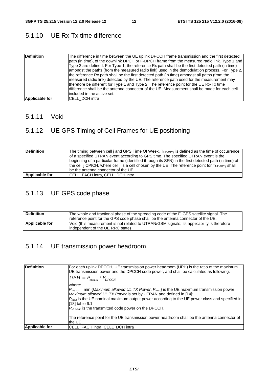### 5.1.10 UE Rx-Tx time difference

| <b>Definition</b> | The difference in time between the UE uplink DPCCH frame transmission and the first detected<br>path (in time), of the downlink DPCH or F-DPCH frame from the measured radio link. Type 1 and<br>Type 2 are defined. For Type 1, the reference Rx path shall be the first detected path (in time)<br>amongst the paths (from the measured radio link) used in the demodulation process. For Type 2,<br>the reference Rx path shall be the first detected path (in time) amongst all paths (from the<br>Imeasured radio link) detected by the UE. The reference path used for the measurement may<br>therefore be different for Type 1 and Type 2. The reference point for the UE Rx-Tx time<br>difference shall be the antenna connector of the UE. Measurement shall be made for each cell<br>lincluded in the active set. |
|-------------------|-----------------------------------------------------------------------------------------------------------------------------------------------------------------------------------------------------------------------------------------------------------------------------------------------------------------------------------------------------------------------------------------------------------------------------------------------------------------------------------------------------------------------------------------------------------------------------------------------------------------------------------------------------------------------------------------------------------------------------------------------------------------------------------------------------------------------------|
| Applicable for    | CELL_DCH intra                                                                                                                                                                                                                                                                                                                                                                                                                                                                                                                                                                                                                                                                                                                                                                                                              |

#### 5.1.11 Void

### 5.1.12 UE GPS Timing of Cell Frames for UE positioning

| <b>Definition</b> | The timing between cell j and GPS Time Of Week. $T_{UE\text{-}GPSi}$ is defined as the time of occurrence<br>of a specified UTRAN event according to GPS time. The specified UTRAN event is the<br>beginning of a particular frame (identified through its SFN) in the first detected path (in time) of<br>the cell i CPICH, where cell i is a cell chosen by the UE. The reference point for $T_{UE\cdot GPSi}$ shall<br>be the antenna connector of the UE. |
|-------------------|---------------------------------------------------------------------------------------------------------------------------------------------------------------------------------------------------------------------------------------------------------------------------------------------------------------------------------------------------------------------------------------------------------------------------------------------------------------|
|                   |                                                                                                                                                                                                                                                                                                                                                                                                                                                               |
| Applicable for    | CELL FACH intra, CELL DCH intra                                                                                                                                                                                                                                                                                                                                                                                                                               |

### 5.1.13 UE GPS code phase

| <b>Definition</b> | The whole and fractional phase of the spreading code of the i <sup>th</sup> GPS satellite signal. The<br>reference point for the GPS code phase shall be the antenna connector of the UE. |
|-------------------|-------------------------------------------------------------------------------------------------------------------------------------------------------------------------------------------|
| Applicable for    | Void (this measurement is not related to UTRAN/GSM signals; its applicability is therefore<br>independent of the UE RRC state)                                                            |

### 5.1.14 UE transmission power headroom

| Definition     | For each uplink DPCCH, UE transmission power headroom (UPH) is the ratio of the maximum<br>UE transmission power and the DPCCH code power, and shall be calculated as following:<br>$UPH = P_{\text{max.tx}} / P_{\text{DPCCH}}$                                                                                                                                                       |
|----------------|----------------------------------------------------------------------------------------------------------------------------------------------------------------------------------------------------------------------------------------------------------------------------------------------------------------------------------------------------------------------------------------|
|                | where:<br>$P_{max,tx}$ = min { <i>Maximum allowed UL TX Power, <math>P_{max}</math></i> is the UE maximum transmission power;<br>Maximum allowed UL TX Power is set by UTRAN and defined in [14];<br>$P_{max}$ is the UE nominal maximum output power according to the UE power class and specified in<br>$[18]$ table 6.1;<br>$P_{DPCCH}$ is the transmitted code power on the DPCCH. |
|                | The reference point for the UE transmission power headroom shall be the antenna connector of<br>the UE.                                                                                                                                                                                                                                                                                |
| Applicable for | <b>CELL FACH intra, CELL DCH intra</b>                                                                                                                                                                                                                                                                                                                                                 |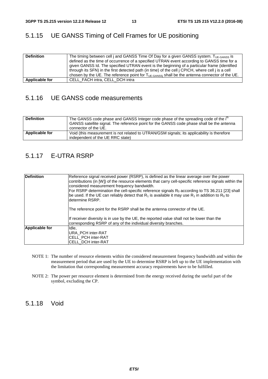#### 5.1.15 UE GANSS Timing of Cell Frames for UE positioning

| <b>Definition</b> | The timing between cell j and GANSS Time Of Day for a given GANSS system. Tue GANSS is                    |
|-------------------|-----------------------------------------------------------------------------------------------------------|
|                   | defined as the time of occurrence of a specified UTRAN event according to GANSS time for a                |
|                   | given GANSS Id. The specified UTRAN event is the beginning of a particular frame (identified              |
|                   | through its SFN) in the first detected path (in time) of the cell j CPICH, where cell j is a cell         |
|                   | chosen by the UE. The reference point for $T_{UE\text{-}GANSi}$ shall be the antenna connector of the UE. |
| Applicable for    | CELL FACH intra, CELL DCH intra                                                                           |

#### 5.1.16 UE GANSS code measurements

| <b>Definition</b> | The GANSS code phase and GANSS Integer code phase of the spreading code of the i <sup>m</sup><br>GANSS satellite signal. The reference point for the GANSS code phase shall be the antenna<br>connector of the UE. |
|-------------------|--------------------------------------------------------------------------------------------------------------------------------------------------------------------------------------------------------------------|
| Applicable for    | Void (this measurement is not related to UTRAN/GSM signals; its applicability is therefore<br>independent of the UE RRC state)                                                                                     |

#### 5.1.17 E-UTRA RSRP

| <b>Definition</b>     | Reference signal received power (RSRP), is defined as the linear average over the power<br>contributions (in [W]) of the resource elements that carry cell-specific reference signals within the<br>considered measurement frequency bandwidth.<br>For RSRP determination the cell-specific reference signals $R_0$ according to TS 36.211 [23] shall<br>be used. If the UE can reliably detect that $R_1$ is available it may use $R_1$ in addition to $R_0$ to<br>ldetermine RSRP.<br>The reference point for the RSRP shall be the antenna connector of the UE.<br>If receiver diversity is in use by the UE, the reported value shall not be lower than the<br>corresponding RSRP of any of the individual diversity branches. |
|-----------------------|------------------------------------------------------------------------------------------------------------------------------------------------------------------------------------------------------------------------------------------------------------------------------------------------------------------------------------------------------------------------------------------------------------------------------------------------------------------------------------------------------------------------------------------------------------------------------------------------------------------------------------------------------------------------------------------------------------------------------------|
| <b>Applicable for</b> | Idle.<br><b>URA PCH inter-RAT</b><br><b>ICELL PCH inter-RAT</b><br><b>CELL DCH inter-RAT</b>                                                                                                                                                                                                                                                                                                                                                                                                                                                                                                                                                                                                                                       |

- NOTE 1: The number of resource elements within the considered measurement frequency bandwidth and within the measurement period that are used by the UE to determine RSRP is left up to the UE implementation with the limitation that corresponding measurement accuracy requirements have to be fulfilled.
- NOTE 2: The power per resource element is determined from the energy received during the useful part of the symbol, excluding the CP.

5.1.18 Void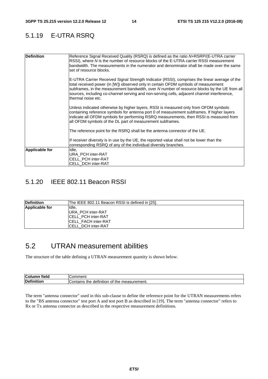#### 5.1.19 E-UTRA RSRQ

| <b>Definition</b>     | Reference Signal Received Quality (RSRQ) is defined as the ratio NxRSRP/(E-UTRA carrier<br>RSSI), where N is the number of resource blocks of the E-UTRA carrier RSSI measurement<br>bandwidth. The measurements in the numerator and denominator shall be made over the same<br>set of resource blocks.                                                                                                  |
|-----------------------|-----------------------------------------------------------------------------------------------------------------------------------------------------------------------------------------------------------------------------------------------------------------------------------------------------------------------------------------------------------------------------------------------------------|
|                       | E-UTRA Carrier Received Signal Strength Indicator (RSSI), comprises the linear average of the<br>total received power (in [W]) observed only in certain OFDM symbols of measurement<br>subframes, in the measurement bandwidth, over N number of resource blocks by the UE from all<br>sources, including co-channel serving and non-serving cells, adjacent channel interference,<br>Ithermal noise etc. |
|                       | Unless indicated otherwise by higher layers, RSSI is measured only from OFDM symbols<br>containing reference symbols for antenna port 0 of measurement subframes. If higher layers<br>indicate all OFDM symbols for performing RSRQ measurements, then RSSI is measured from<br>all OFDM symbols of the DL part of measurement subframes.                                                                 |
|                       | The reference point for the RSRQ shall be the antenna connector of the UE.                                                                                                                                                                                                                                                                                                                                |
|                       | If receiver diversity is in use by the UE, the reported value shall not be lower than the<br>corresponding RSRQ of any of the individual diversity branches.                                                                                                                                                                                                                                              |
| <b>Applicable for</b> | Idle,<br>URA PCH inter-RAT<br><b>CELL PCH inter-RAT</b><br>CELL_DCH inter-RAT                                                                                                                                                                                                                                                                                                                             |

#### 5.1.20 IEEE 802.11 Beacon RSSI

| <b>Definition</b>     | The IEEE 802.11 Beacon RSSI is defined in [25]. |
|-----------------------|-------------------------------------------------|
| <b>Applicable for</b> | IIdle.                                          |
|                       | <b>URA PCH inter-RAT</b>                        |
|                       | ICELL PCH inter-RAT                             |
|                       | ICELL FACH inter-RAT                            |
|                       | ICELL DCH inter-RAT                             |

### 5.2 UTRAN measurement abilities

The structure of the table defining a UTRAN measurement quantity is shown below.

| tield<br>Coll                  | $-1$<br>ווטו<br>                                             |
|--------------------------------|--------------------------------------------------------------|
| <b>Defin</b><br>.<br>.<br>:ior | . measurement.<br>definition<br>`ontains<br>the<br>יט<br>ure |

The term "antenna connector" used in this sub-clause to define the reference point for the UTRAN measurements refers to the "BS antenna connector" test port A and test port B as described in [19]. The term "antenna connector" refers to Rx or Tx antenna connector as described in the respective measurement definitions.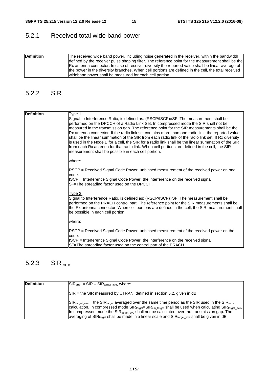### 5.2.1 Received total wide band power

| <b>Definition</b> | The received wide band power, including noise generated in the receiver, within the bandwidth<br>defined by the receiver pulse shaping filter. The reference point for the measurement shall be the |
|-------------------|-----------------------------------------------------------------------------------------------------------------------------------------------------------------------------------------------------|
|                   |                                                                                                                                                                                                     |
|                   | Rx antenna connector. In case of receiver diversity the reported value shall be linear average of                                                                                                   |
|                   | the power in the diversity branches. When cell portions are defined in the cell, the total received                                                                                                 |
|                   | wideband power shall be measured for each cell portion.                                                                                                                                             |

#### 5.2.2 SIR

| <b>Definition</b> | Type 1:<br>Signal to Interference Ratio, is defined as: (RSCP/ISCP)×SF. The measurement shall be<br>performed on the DPCCH of a Radio Link Set. In compressed mode the SIR shall not be<br>measured in the transmission gap. The reference point for the SIR measurements shall be the                                                                                                                                                                                   |
|-------------------|--------------------------------------------------------------------------------------------------------------------------------------------------------------------------------------------------------------------------------------------------------------------------------------------------------------------------------------------------------------------------------------------------------------------------------------------------------------------------|
|                   | Rx antenna connector. If the radio link set contains more than one radio link, the reported value<br>shall be the linear summation of the SIR from each radio link of the radio link set. If Rx diversity<br>is used in the Node B for a cell, the SIR for a radio link shall be the linear summation of the SIR<br>from each Rx antenna for that radio link. When cell portions are defined in the cell, the SIR<br>measurement shall be possible in each cell portion. |
|                   | where:                                                                                                                                                                                                                                                                                                                                                                                                                                                                   |
|                   | RSCP = Received Signal Code Power, unbiased measurement of the received power on one<br>code.                                                                                                                                                                                                                                                                                                                                                                            |
|                   | ISCP = Interference Signal Code Power, the interference on the received signal.<br>SF=The spreading factor used on the DPCCH.                                                                                                                                                                                                                                                                                                                                            |
|                   | <u>Type 2:</u><br>Signal to Interference Ratio, is defined as: (RSCP/ISCP)×SF. The measurement shall be<br>performed on the PRACH control part. The reference point for the SIR measurements shall be<br>the Rx antenna connector. When cell portions are defined in the cell, the SIR measurement shall<br>be possible in each cell portion.                                                                                                                            |
|                   | where:                                                                                                                                                                                                                                                                                                                                                                                                                                                                   |
|                   | RSCP = Received Signal Code Power, unbiased measurement of the received power on the<br>code.                                                                                                                                                                                                                                                                                                                                                                            |
|                   | ISCP = Interference Signal Code Power, the interference on the received signal.<br>SF=The spreading factor used on the control part of the PRACH.                                                                                                                                                                                                                                                                                                                        |

### 5.2.3 SIRerror

| <b>Definition</b> | $ SIR_{error} = SIR - SIR_{target}$ ave, where:                                                                                                                                                                                                                                                                                                                                                                                                                                                                                                             |
|-------------------|-------------------------------------------------------------------------------------------------------------------------------------------------------------------------------------------------------------------------------------------------------------------------------------------------------------------------------------------------------------------------------------------------------------------------------------------------------------------------------------------------------------------------------------------------------------|
|                   | $ SIR =$ the SIR measured by UTRAN, defined in section 5.2, given in dB.                                                                                                                                                                                                                                                                                                                                                                                                                                                                                    |
|                   | $\text{SIR}_{\text{target ave}}$ = the SIR <sub>target</sub> averaged over the same time period as the SIR used in the SIR <sub>error</sub><br>calculation. In compressed mode $\text{SIR}_{\text{target}}$ $\text{SIR}_{\text{cm\_target}}$ shall be used when calculating $\text{SIR}_{\text{target\_ave}}$ .<br>In compressed mode the $\text{SIR}_{\text{target}}$ ave shall not be calculated over the transmission gap. The<br>averaging of SIR <sub>target</sub> shall be made in a linear scale and SIR <sub>target ave</sub> shall be given in dB. |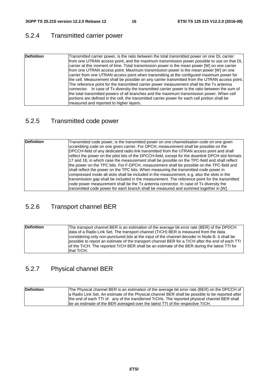## 5.2.4 Transmitted carrier power

| <b>Definition</b> | Transmitted carrier power, is the ratio between the total transmitted power on one DL carrier<br>from one UTRAN access point, and the maximum transmission power possible to use on that DL<br>carrier at this moment of time. Total transmission power is the mean power [W] on one carrier |
|-------------------|----------------------------------------------------------------------------------------------------------------------------------------------------------------------------------------------------------------------------------------------------------------------------------------------|
|                   | from one UTRAN access point. Maximum transmission power is the mean power [W] on one<br>carrier from one UTRAN access point when transmitting at the configured maximum power for                                                                                                            |
|                   | the cell. Measurement shall be possible on any carrier transmitted from the UTRAN access point.                                                                                                                                                                                              |
|                   | The reference point for the transmitted carrier power measurement shall be the Tx antenna<br>connector. In case of Tx diversity the transmitted carrier power is the ratio between the sum of<br>the total transmitted powers of all branches and the maximum transmission power. When cell  |
|                   | portions are defined in the cell, the transmitted carrier power for each cell portion shall be                                                                                                                                                                                               |
|                   | measured and reported to higher layers.                                                                                                                                                                                                                                                      |

### 5.2.5 Transmitted code power

| <b>Definition</b> | Transmitted code power, is the transmitted power on one channelisation code on one given          |
|-------------------|---------------------------------------------------------------------------------------------------|
|                   | scrambling code on one given carrier. For DPCH, measurement shall be possible on the              |
|                   | DPCCH-field of any dedicated radio link transmitted from the UTRAN access point and shall         |
|                   | reflect the power on the pilot bits of the DPCCH-field, except for the downlink DPCH slot formats |
|                   | 17 and 18, in which case the measurement shall be possible on the TPC-field and shall reflect     |
|                   | the power on the TPC bits. For F-DPCH, measurement shall be possible on the TPC-field and         |
|                   | shall reflect the power on the TPC bits. When measuring the transmitted code power in             |
|                   | compressed mode all slots shall be included in the measurement, e.g. also the slots in the        |
|                   | transmission gap shall be included in the measurement. The reference point for the transmitted    |
|                   | code power measurement shall be the Tx antenna connector. In case of Tx diversity the             |
|                   | transmitted code power for each branch shall be measured and summed together in [W].              |

### 5.2.6 Transport channel BER

| <b>Definition</b> | The transport channel BER is an estimation of the average bit error rate (BER) of the DPDCH      |
|-------------------|--------------------------------------------------------------------------------------------------|
|                   | data of a Radio Link Set. The transport channel (TrCH) BER is measured from the data             |
|                   | considering only non-punctured bits at the input of the channel decoder in Node B. It shall be   |
|                   | possible to report an estimate of the transport channel BER for a TrCH after the end of each TTI |
|                   | of the TrCH. The reported TrCH BER shall be an estimate of the BER during the latest TTI for     |
|                   | that TrCH.                                                                                       |

### 5.2.7 Physical channel BER

| <b>Definition</b> | The Physical channel BER is an estimation of the average bit error rate (BER) on the DPCCH of    |
|-------------------|--------------------------------------------------------------------------------------------------|
|                   | a Radio Link Set. An estimate of the Physical channel BER shall be possible to be reported after |
|                   | the end of each TTI of any of the transferred TrCHs. The reported physical channel BER shall     |
|                   | be an estimate of the BER averaged over the latest TTI of the respective TrCH.                   |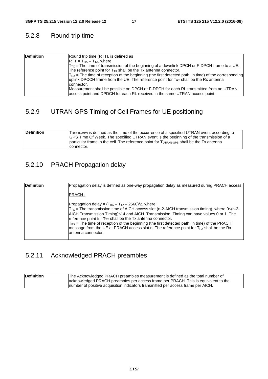### 5.2.8 Round trip time

| <b>Definition</b> | Round trip time (RTT), is defined as                                                                       |
|-------------------|------------------------------------------------------------------------------------------------------------|
|                   | $RTT = T_{RX} - T_{TX}$ , where                                                                            |
|                   | $T_{\text{TX}}$ = The time of transmission of the beginning of a downlink DPCH or F-DPCH frame to a UE.    |
|                   | The reference point for $T_{TX}$ shall be the Tx antenna connector.                                        |
|                   | $ T_{RX}$ = The time of reception of the beginning (the first detected path, in time) of the corresponding |
|                   | uplink DPCCH frame from the UE. The reference point for $T_{RX}$ shall be the Rx antenna                   |
|                   | connector.                                                                                                 |
|                   | Measurement shall be possible on DPCH or F-DPCH for each RL transmitted from an UTRAN                      |
|                   | access point and DPDCH for each RL received in the same UTRAN access point.                                |

### 5.2.9 UTRAN GPS Timing of Cell Frames for UE positioning

| <b>Definition</b> | TUTRAN-GPS IS defined as the time of the occurrence of a specified UTRAN event according to<br>GPS Time Of Week. The specified UTRAN event is the beginning of the transmission of a |
|-------------------|--------------------------------------------------------------------------------------------------------------------------------------------------------------------------------------|
|                   | particular frame in the cell. The reference point for $T_{\text{UTRAN-GPS}}$ shall be the Tx antenna<br>connector.                                                                   |

### 5.2.10 PRACH Propagation delay

| <b>Definition</b> | Propagation delay is defined as one-way propagation delay as measured during PRACH access:                                                                                                                                                                                                                                                                                                                                                                                                                                                                |
|-------------------|-----------------------------------------------------------------------------------------------------------------------------------------------------------------------------------------------------------------------------------------------------------------------------------------------------------------------------------------------------------------------------------------------------------------------------------------------------------------------------------------------------------------------------------------------------------|
|                   | IPRACH :                                                                                                                                                                                                                                                                                                                                                                                                                                                                                                                                                  |
|                   | Propagation delay = $(T_{RX} - T_{TX} - 2560)/2$ , where:<br>$T_{TX}$ = The transmission time of AICH access slot (n-2-AICH transmission timing), where 0 ≤ (n-2-<br>AICH Transmission Timing)≤14 and AICH_Transmission_Timing can have values 0 or 1. The<br>reference point for $T_{TX}$ shall be the Tx antenna connector.<br>$T_{RX}$ = The time of reception of the beginning (the first detected path, in time) of the PRACH<br>message from the UE at PRACH access slot n. The reference point for $T_{RX}$ shall be the Rx<br>lantenna connector. |

### 5.2.11 Acknowledged PRACH preambles

| Definition | The Acknowledged PRACH preambles measurement is defined as the total number of     |
|------------|------------------------------------------------------------------------------------|
|            | acknowledged PRACH preambles per access frame per PRACH. This is equivalent to the |
|            | Inumber of positive acquisition indicators transmitted per access frame per AICH.  |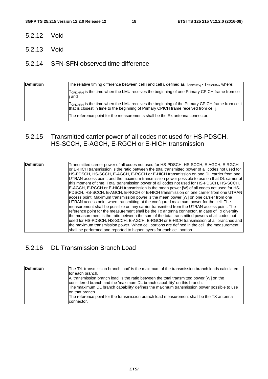- 5.2.12 Void
- 5.2.13 Void

#### 5.2.14 SFN-SFN observed time difference

| <b>Definition</b> | The relative timing difference between cell j and cell i, defined as T <sub>CPICHRxi</sub> - T <sub>CPICHRxi</sub> , where:                                                                           |
|-------------------|-------------------------------------------------------------------------------------------------------------------------------------------------------------------------------------------------------|
|                   | T <sub>CPICHRxi</sub> is the time when the LMU receives the beginning of one Primary CPICH frame from cell<br>j and                                                                                   |
|                   | $T_{\text{CPICHRxi}}$ is the time when the LMU receives the beginning of the Primary CPICH frame from cell i<br>that is closest in time to the beginning of Primary CPICH frame received from cell j. |
|                   | The reference point for the measurements shall be the Rx antenna connector.                                                                                                                           |

#### 5.2.15 Transmitted carrier power of all codes not used for HS-PDSCH, HS-SCCH, E-AGCH, E-RGCH or E-HICH transmission

#### 5.2.16 DL Transmission Branch Load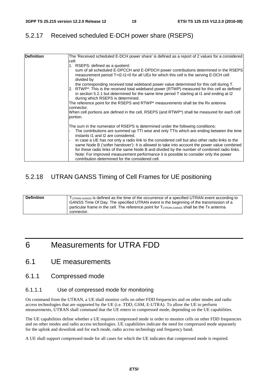#### 5.2.17 Received scheduled E-DCH power share (RSEPS)

| <b>Definition</b> | The 'Received scheduled E-DCH power share' is defined as a report of 2 values for a considered                                                                                                                                               |
|-------------------|----------------------------------------------------------------------------------------------------------------------------------------------------------------------------------------------------------------------------------------------|
|                   | cell:                                                                                                                                                                                                                                        |
|                   | 1. RSEPS: defined as a quotient:                                                                                                                                                                                                             |
|                   | sum of all scheduled E-DPCCH and E-DPDCH power contributions determined in the RSEPS                                                                                                                                                         |
|                   | measurement period T=t2-t1>0 for all UEs for which this cell is the serving E-DCH cell<br>divided by                                                                                                                                         |
|                   | the corresponding received total wideband power value determined for this cell during T.                                                                                                                                                     |
|                   | 2. RTWP <sup>*</sup> : This is the received total wideband power (RTWP) measured for this cell as defined<br>in section 5.2.1 but determined for the same time period T starting at t1 and ending at t2<br>during which RSEPS is determined. |
|                   | The reference point for the RSEPS and RTWP* measurements shall be the Rx antenna                                                                                                                                                             |
|                   | connector.                                                                                                                                                                                                                                   |
|                   | When cell portions are defined in the cell, RSEPS (and RTWP*) shall be measured for each cell<br>portion.                                                                                                                                    |
|                   |                                                                                                                                                                                                                                              |
|                   | The sum in the numerator of RSEPS is determined under the following conditions:                                                                                                                                                              |
|                   | The contributions are summed up TTI wise and only TTIs which are ending between the time<br>instants t1 and t2 are considered.                                                                                                               |
|                   | In case a UE has not only a radio link to the considered cell but also other radio links to the                                                                                                                                              |
|                   | same Node B ('softer handover'): It is allowed to take into account the power value combined                                                                                                                                                 |
|                   | for these radio links of the same Node B and divided by the number of combined radio links.                                                                                                                                                  |
|                   | Note: For improved measurement performance it is possible to consider only the power                                                                                                                                                         |
|                   | contribution determined for the considered cell.                                                                                                                                                                                             |

#### 5.2.18 UTRAN GANSS Timing of Cell Frames for UE positioning

| <b>Definition</b> | TUTRAN-GANSS is defined as the time of the occurrence of a specified UTRAN event according to |
|-------------------|-----------------------------------------------------------------------------------------------|
|                   | GANSS Time Of Day. The specified UTRAN event is the beginning of the transmission of a        |
|                   | particular frame in the cell. The reference point for TUTRAN-GANSS Shall be the Tx antenna    |
|                   | connector.                                                                                    |

## 6 Measurements for UTRA FDD

#### 6.1 UE measurements

#### 6.1.1 Compressed mode

#### 6.1.1.1 Use of compressed mode for monitoring

On command from the UTRAN, a UE shall monitor cells on other FDD frequencies and on other modes and radio access technologies that are supported by the UE (i.e. TDD, GSM, E-UTRA). To allow the UE to perform measurements, UTRAN shall command that the UE enters in compressed mode, depending on the UE capabilities.

The UE capabilities define whether a UE requires compressed mode in order to monitor cells on other FDD frequencies and on other modes and radio access technologies. UE capabilities indicate the need for compressed mode separately for the uplink and downlink and for each mode, radio access technology and frequency band.

A UE shall support compressed mode for all cases for which the UE indicates that compressed mode is required.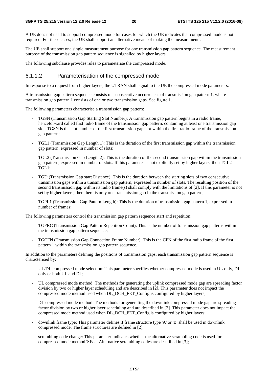A UE does not need to support compressed mode for cases for which the UE indicates that compressed mode is not required. For these cases, the UE shall support an alternative means of making the measurements.

The UE shall support one single measurement purpose for one transmission gap pattern sequence. The measurement purpose of the transmission gap pattern sequence is signalled by higher layers.

The following subclause provides rules to parameterise the compressed mode.

#### 6.1.1.2 Parameterisation of the compressed mode

In response to a request from higher layers, the UTRAN shall signal to the UE the compressed mode parameters.

A transmission gap pattern sequence consists of consecutive occurrences of transmission gap pattern 1, where transmission gap pattern 1 consists of one or two transmission gaps. See figure 1.

The following parameters characterise a transmission gap pattern:

- TGSN (Transmission Gap Starting Slot Number): A transmission gap pattern begins in a radio frame, henceforward called first radio frame of the transmission gap pattern, containing at least one transmission gap slot. TGSN is the slot number of the first transmission gap slot within the first radio frame of the transmission gap pattern;
- TGL1 (Transmission Gap Length 1): This is the duration of the first transmission gap within the transmission gap pattern, expressed in number of slots;
- TGL2 (Transmission Gap Length 2): This is the duration of the second transmission gap within the transmission gap pattern, expressed in number of slots. If this parameter is not explicitly set by higher layers, then  $TGL2 =$ TGL1;
- TGD (Transmission Gap start Distance): This is the duration between the starting slots of two consecutive transmission gaps within a transmission gap pattern, expressed in number of slots. The resulting position of the second transmission gap within its radio frame(s) shall comply with the limitations of [2]. If this parameter is not set by higher layers, then there is only one transmission gap in the transmission gap pattern;
- TGPL1 (Transmission Gap Pattern Length): This is the duration of transmission gap pattern 1, expressed in number of frames;

The following parameters control the transmission gap pattern sequence start and repetition:

- TGPRC (Transmission Gap Pattern Repetition Count): This is the number of transmission gap patterns within the transmission gap pattern sequence;
- TGCFN (Transmission Gap Connection Frame Number): This is the CFN of the first radio frame of the first pattern 1 within the transmission gap pattern sequence.

In addition to the parameters defining the positions of transmission gaps, each transmission gap pattern sequence is characterised by:

- UL/DL compressed mode selection: This parameter specifies whether compressed mode is used in UL only, DL only or both UL and DL;
- UL compressed mode method: The methods for generating the uplink compressed mode gap are spreading factor division by two or higher layer scheduling and are described in [2]. This parameter does not impact the compressed mode method used when DL\_DCH\_FET\_Config is configured by higher layers;
- DL compressed mode method: The methods for generating the downlink compressed mode gap are spreading factor division by two or higher layer scheduling and are described in [2]. This parameter does not impact the compressed mode method used when DL\_DCH\_FET\_Config is configured by higher layers;
- downlink frame type: This parameter defines if frame structure type 'A' or 'B' shall be used in downlink compressed mode. The frame structures are defined in [2];
- scrambling code change: This parameter indicates whether the alternative scrambling code is used for compressed mode method 'SF/2'. Alternative scrambling codes are described in [3];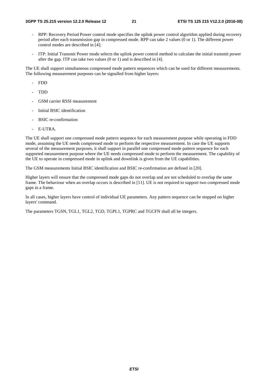- RPP: Recovery Period Power control mode specifies the uplink power control algorithm applied during recovery period after each transmission gap in compressed mode. RPP can take 2 values (0 or 1). The different power control modes are described in [4];
- ITP: Initial Transmit Power mode selects the uplink power control method to calculate the initial transmit power after the gap. ITP can take two values (0 or 1) and is described in [4].

The UE shall support simultaneous compressed mode pattern sequences which can be used for different measurements. The following measurement purposes can be signalled from higher layers:

- FDD
- TDD
- GSM carrier RSSI measurement
- Initial BSIC identification
- BSIC re-confirmation
- E-UTRA.

The UE shall support one compressed mode pattern sequence for each measurement purpose while operating in FDD mode, assuming the UE needs compressed mode to perform the respective measurement. In case the UE supports several of the measurement purposes, it shall support in parallel one compressed mode pattern sequence for each supported measurement purpose where the UE needs compressed mode to perform the measurement. The capability of the UE to operate in compressed mode in uplink and downlink is given from the UE capabilities.

The GSM measurements Initial BSIC identification and BSIC re-confirmation are defined in [20].

Higher layers will ensure that the compressed mode gaps do not overlap and are not scheduled to overlap the same frame. The behaviour when an overlap occurs is described in [11]. UE is not required to support two compressed mode gaps in a frame.

In all cases, higher layers have control of individual UE parameters. Any pattern sequence can be stopped on higher layers' command.

The parameters TGSN, TGL1, TGL2, TGD, TGPL1, TGPRC and TGCFN shall all be integers.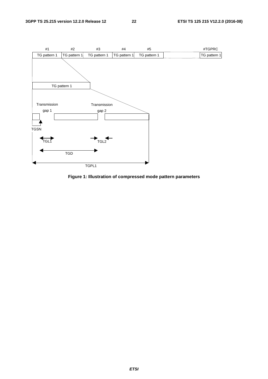

**Figure 1: Illustration of compressed mode pattern parameters**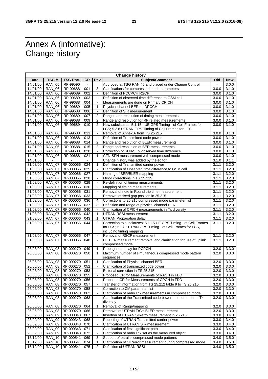### Annex A (informative): Change history

| <b>Change history</b> |                |                    |                |                          |                                                                |        |            |  |
|-----------------------|----------------|--------------------|----------------|--------------------------|----------------------------------------------------------------|--------|------------|--|
| Date                  | TSG#           | TSG Doc.           | СR             | Rev                      | Subject/Comment                                                | Old    | <b>New</b> |  |
| 14/01/00              | <b>RAN_05</b>  | RP-99590           | $\sim$         |                          | Approved at TSG RAN #5 and placed under Change Control         | $\sim$ | 3.0.0      |  |
| 14/01/00              | <b>RAN_06</b>  | RP-99688           | 001            | 3                        | Clarifications for compressed mode parameters                  | 3.0.0  | 3.1.0      |  |
| 14/01/00              | <b>RAN 06</b>  | RP-99689           | 002            | $\blacksquare$           | Definition of PCCPCH RSCP                                      | 3.0.0  | 3.1.0      |  |
| 14/01/00              | <b>RAN_06</b>  | RP-99689           | 003            | $\blacksquare$           | Definition of observed time difference to GSM cell             | 3.0.0  | 3.1.0      |  |
| 14/01/00              | <b>RAN_06</b>  | RP-99688           | 004            | $\blacksquare$           | Measurements are done on Primary CPICH                         | 3.0.0  | 3.1.0      |  |
| 14/01/00              | <b>RAN 06</b>  | RP-99689           | 005            | 1                        | Physical channel BER on DPCCH                                  | 3.0.0  | 3.1.0      |  |
| 14/01/00              | <b>RAN_06</b>  | RP-99688           | 006            | $\blacksquare$           | Definition of SIR measurement                                  | 3.0.0  | 3.1.0      |  |
| 14/01/00              | <b>RAN 06</b>  | RP-99689           | 007            | $\overline{2}$           | Ranges and resolution of timing measurements                   | 3.0.0  | 3.1.0      |  |
| 14/01/00              | <b>RAN 06</b>  | RP-99688           | 009            | 2                        | Range and resolution for RF related measurements               | 3.0.0  | 3.1.0      |  |
| 14/01/00              | <b>RAN_06</b>  | RP-99689           | 010            | 2                        | New subclauses: 5.1.15 - UE GPS Timing of Cell Frames for      | 3.0.0  | 3.1.0      |  |
|                       |                |                    |                |                          | LCS; 5.2.8 UTRAN GPS Timing of Cell Frames for LCS             |        |            |  |
| 14/01/00              | <b>RAN_06</b>  | RP-99688           | 011            | $\blacksquare$           | Removal of Annex A from TS 25.215                              | 3.0.0  | 3.1.0      |  |
| 14/01/00              | <b>RAN 06</b>  | RP-99688           | 013            | $\blacksquare$           | Definition of Transmitted code power                           | 3.0.0  | 3.1.0      |  |
| 14/01/00              | <b>RAN 06</b>  | RP-99688           | 014            | 2                        | Range and resolution of BLER measurements                      | 3.0.0  | 3.1.0      |  |
| 14/01/00              | <b>RAN_06</b>  | RP-99688           | 015            | 2                        | Range and resolution of BER measurements                       | 3.0.0  | 3.1.0      |  |
| 14/01/00              | <b>RAN 06</b>  | RP-99688           | 020            |                          | Correction of SFN-SFN observed time difference                 | 3.0.0  | 3.1.0      |  |
| 14/01/00              | <b>RAN 06</b>  | RP-99688           | 021            | 1                        | CFN-SFN measurement with compressed mode                       | 3.0.0  | 3.1.0      |  |
| 14/01/00              | $\blacksquare$ | $\blacksquare$     | $\blacksquare$ |                          | Change history was added by the editor                         | 3.1.0  | 3.1.1      |  |
| 31/03/00              | <b>RAN_07</b>  | RP-000066          | 024            | 1                        | Definition of Transmitted carrier power                        | 3.1.1  | 3.2.0      |  |
| 31/03/00              | <b>RAN_07</b>  | RP-000066          | 025            |                          | Clarification of Observed time difference to GSM cell          | 3.1.1  | 3.2.0      |  |
| 31/03/00              | <b>RAN_07</b>  | RP-000066          | 027            | $\blacksquare$           | Naming of BER/BLER mapping                                     | 3.1.1  | 3.2.0      |  |
| 31/03/00              | <b>RAN 07</b>  | RP-000066          | 028            | $\blacksquare$           | Minor corrections in TS 25.215                                 | 3.1.1  | 3.2.0      |  |
| 31/03/00              |                | RP-000066          |                |                          |                                                                | 3.1.1  |            |  |
|                       | <b>RAN 07</b>  |                    | 029            | $\blacksquare$           | Re-definition of timing measurements                           |        | 3.2.0      |  |
| 31/03/00              | <b>RAN_07</b>  | RP-000066          | 030            | 2                        | Mapping of timing measurements                                 | 3.1.1  | 3.2.0      |  |
| 31/03/00              | <b>RAN_07</b>  | RP-000066          | 031            | $\blacksquare$           | Removal of note in Round trip time measurement                 | 3.1.1  | 3.2.0      |  |
| 31/03/00              | <b>RAN 07</b>  | RP-000066          | 033            | $\blacksquare$           | Removal of fixed gap position in 25.215                        | 3.1.1  | 3.2.0      |  |
| 31/03/00              | <b>RAN_07</b>  | RP-000066          | 036            | 4                        | Corrections to 25.215 compressed mode parameter list           | 3.1.1  | 3.2.0      |  |
| 31/03/00              | <b>RAN 07</b>  | RP-000066          | 037            | 3                        | Definition and range of physical channel BER                   | 3.1.1  | 3.2.0      |  |
| 31/03/00              | <b>RAN 07</b>  | RP-000066          | 040            | L,                       | Clarification of CPICH measurements in Tx diversity            | 3.1.1  | 3.2.0      |  |
| 31/03/00              | <b>RAN_07</b>  | RP-000066          | 042            | 1                        | <b>UTRAN RSSI measurement</b>                                  | 3.1.1  | 3.2.0      |  |
| 31/03/00              | <b>RAN 07</b>  | RP-000066          | 043            | $\mathbf{1}$             | <b>UTRAN Propagation delay</b>                                 | 3.1.1  | 3.2.0      |  |
| 31/03/00              | <b>RAN_07</b>  | RP-000066          | 044            | 2                        | Correction to subclauses: 5.1.15 UE GPS Timing of Cell Frames  | 3.1.1  | 3.2.0      |  |
|                       |                |                    |                |                          | for LCS; 5.2.8 UTRAN GPS Timing of Cell Frames for LCS,        |        |            |  |
|                       |                |                    |                |                          | including timing mapping                                       |        |            |  |
| 31/03/00              | <b>RAN_07</b>  | RP-000066          | 047            | $\blacksquare$           | Removal of RSCP measurement                                    | 3.1.1  | 3.2.0      |  |
| 31/03/00              | <b>RAN 07</b>  | RP-000066          | 048            | $\overline{\phantom{a}}$ | UE BER measurement removal and clarification for use of uplink | 3.1.1  | 3.2.0      |  |
|                       |                |                    |                |                          | compressed mode                                                |        |            |  |
| 26/06/00              | <b>RAN 08</b>  | RP-000270          | 049            | 1                        | Propagation delay for PCPCH                                    | 3.2.0  | 3.3.0      |  |
| 26/06/00              | <b>RAN_08</b>  | RP-000270          | 050            | $\mathbf{1}$             | Maximum number of simultaneous compressed mode pattern         | 3.2.0  | 3.3.0      |  |
|                       |                |                    |                |                          | sequences                                                      |        |            |  |
| 26/06/00              | <b>RAN_08</b>  | RP-000270          | 051            | 1                        | Clarification of Physical channel BER                          | 3.2.0  | 3.3.0      |  |
| 26/06/00              | <b>RAN 08</b>  | RP-000270          | 052            | $\blacksquare$           | Clarification of transmitted code power                        | 3.2.0  | 3.3.0      |  |
| 26/06/00              |                | RAN 08 RP-000270   | 053            | $\blacksquare$           | Editorial correction in TS 25.215                              | 3.2.0  | 3.3.0      |  |
| 26/06/00              |                | RAN_08 RP-000270   | 055            |                          | Proposed CR for Measurements of RACH in FDD                    | 3.2.0  | 3.3.0      |  |
| 26/06/00              |                | RAN_08 RP-000270   | 056            |                          | Proposed CR for Measurements of CPCH in FDD                    | 3.2.0  | 3.3.0      |  |
| 26/06/00              |                | RAN_08   RP-000270 | 057            |                          | Transfer of information from TS 25.212 table 9 to TS 25.215    | 3.2.0  | 3.3.0      |  |
| 26/06/00              |                | RAN_08 RP-000270   | 058            | $\blacksquare$           | Correction to CM parameter list                                | 3.2.0  | 3.3.0      |  |
| 26/06/00              | <b>RAN_08</b>  | RP-000270          | 062            | $\blacksquare$           | Clarification of radio link measurements in compressed mode    | 3.2.0  | 3.3.0      |  |
| 26/06/00              | <b>RAN_08</b>  | RP-000270          | 063            |                          | Clarification of the Transmitted code power measurement in Tx  | 3.2.0  | 3.3.0      |  |
|                       |                |                    |                |                          | diversity                                                      |        |            |  |
| 26/06/00              | <b>RAN_08</b>  | RP-000270          | 064            | 1                        | Removal of Range/mapping                                       | 3.2.0  | 3.3.0      |  |
| 26/06/00              |                | RAN_08 RP-000270   | 066            | $\blacksquare$           | Removal of UTRAN TrCH BLER measurement                         | 3.2.0  | 3.3.0      |  |
| 23/09/00              | RAN_09         | RP-000343          | 067            | $\blacksquare$           | Insertion of UTRAN SIRerro measurement in 25.215               | 3.3.0  | 3.4.0      |  |
| 23/09/00              | RAN_09         | RP-000343          | 068            | $\blacksquare$           | Reporting of UTRAN Transmitted carrier power                   | 3.3.0  | 3.4.0      |  |
| 23/09/00              | <b>RAN_09</b>  | RP-000343          | 070            | $\blacksquare$           | Clarification of UTRAN SIR measurement                         | 3.3.0  | 3.4.0      |  |
| 23/09/00              | <b>RAN_09</b>  | RP-000343          | 071            | $\blacksquare$           | Clarification of first significant path                        | 3.3.0  | 3.4.0      |  |
| 23/09/00              |                | RAN_09 RP-000343   | 072            | $\blacksquare$           | Clarification of radio link set as the measured object         | 3.3.0  | 3.4.0      |  |
| 15/12/00              |                | RAN_10   RP-000541 | 069            | 3                        | Support of parallel compressed mode patterns                   | 3.4.0  | 3.5.0      |  |
| 15/12/00              |                | RAN_10   RP-000541 | 074            | 1                        | Clarification of SIRerror measurement during compressed mode   | 3.4.0  | 3.5.0      |  |
| 15/12/00              |                | RAN_10   RP-000541 | 075            | 2                        | Definition of UTRAN RSSI                                       | 3.4.0  | 3.5.0      |  |
|                       |                |                    |                |                          |                                                                |        |            |  |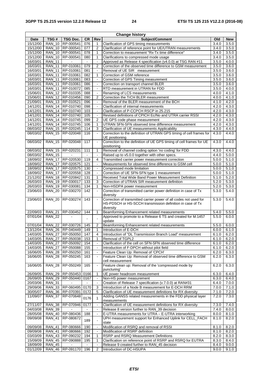| <b>Change history</b> |                                |                  |                |                                  |                                                                                                                                                          |                |                |  |
|-----------------------|--------------------------------|------------------|----------------|----------------------------------|----------------------------------------------------------------------------------------------------------------------------------------------------------|----------------|----------------|--|
| Date                  | TSG#                           | <b>TSG Doc.</b>  | <b>CR</b>      | Rev                              | Subject/Comment                                                                                                                                          | Old            | <b>New</b>     |  |
| 15/12/00              | <b>RAN 10</b>                  | RP-000541        | 076            | 1                                | Clarification of GPS timing measurements                                                                                                                 | 3.4.0          | 3.5.0          |  |
| 15/12/00              |                                | RAN_10 RP-000541 | 077            | $\overline{2}$                   | Clarification of reference point for UE/UTRAN measurements                                                                                               | 3.4.0          | 3.5.0          |  |
| 15/12/00              | <b>RAN 10</b>                  | RP-000541        | 078            | 1                                | Correction to measurement "Rx-Tx time difference"                                                                                                        | 3.4.0<br>3.4.0 | 3.5.0          |  |
| 15/12/00              | <b>RAN_10</b>                  | RP-000541        | 080<br>$\sim$  | $\mathbf{1}$                     | Clarifications to compressed mode usage<br>Approved as Release 4 specification (v4.0.0) at TSG RAN #11                                                   |                | 3.5.0          |  |
| 16/03/01<br>16/03/01  | <b>RAN_11</b><br><b>RAN 11</b> | RP-010061        | 079            | $\blacksquare$<br>$\overline{2}$ | Correction of the observed time difference to GSM measurement                                                                                            | 3.5.0<br>3.5.0 | 4.0.0<br>3.6.0 |  |
| 16/03/01              | <b>RAN 11</b>                  | RP-010061        | 081            |                                  | Removal of UE SIR measurement                                                                                                                            | 3.5.0          | 3.6.0          |  |
| 16/03/01              | <b>RAN_11</b>                  | RP-010061        | 082            | 1                                | Correction of GSM reference                                                                                                                              | 3.5.0          | 3.6.0          |  |
| 16/03/01              | <b>RAN 11</b>                  | RP-010061        | 083            |                                  | Correction of GPS Timing measurement                                                                                                                     | 3.5.0          | 3.6.0          |  |
| 16/03/01              | <b>RAN 11</b>                  | RP-010061        | 086            | $\blacksquare$                   | Correction on transport channel BLER                                                                                                                     | 3.5.0          | 3.6.0          |  |
| 16/03/01              | <b>RAN_11</b>                  | RP-010072        | 085            | $\blacksquare$                   | RTD measurement in UTRAN for FDD                                                                                                                         | 3.5.0          | 4.0.0          |  |
| 15/06/01              |                                | RAN 12 RP-010335 | 088            | $\blacksquare$                   | Renaming of LCS measurements                                                                                                                             | 4.0.0          | 4.1.0          |  |
| 15/06/01              | RAN<br>12                      | RP-010456        | 090            | $\overline{2}$                   | Correction the TrCH BLER measurement                                                                                                                     | 4.0.0          | 4.1.0          |  |
| 21/09/01              | <b>RAN_13</b>                  | RP-010521        | 096            | $\blacksquare$                   | Removal of the BLER measurement of the BCH                                                                                                               | 4.1.0          | 4.2.0          |  |
| 14/12/01              | <b>RAN</b>                     | _14 RP-010740    | 098            | $\blacksquare$                   | Clarification of internal measurements                                                                                                                   | 4.2.0          | 4.3.0          |  |
| 14/12/01              |                                | RAN_14 RP-010740 | 103            | $\blacksquare$                   | Clarification of P-CCPCH RSCP in 25.215                                                                                                                  | 4.2.0          | 4.3.0          |  |
| 14/12/01              | <b>RAN_14</b>                  | RP-010740        | 105            | $\blacksquare$                   | Revised definitions of CPICH Ec/No and UTRA carrier RSSI                                                                                                 | 4.2.0          | 4.3.0          |  |
| 14/12/01              |                                | RAN_14 RP-010745 | 099            | $\overline{2}$                   | UE GPS code phase measurement                                                                                                                            | 4.2.0          | 4.3.0          |  |
| 14/12/01              |                                | RAN 14 RP-010745 | 106            | 1                                | UTRAN SFN-SFN observed time difference measurement                                                                                                       | 4.2.0          | 4.3.0          |  |
| 08/03/02              |                                | RAN_15 RP-020245 | 114            | 3                                | Clarification of UE measurements Applicability                                                                                                           | 4.3.0          | 4.4.0          |  |
| 08/03/02              | <b>RAN_15</b>                  | RP-020048        | 116            | $\blacksquare$                   | Correction to the definition of UTRAN GPS timing of cell frames for<br>UE positioning                                                                    | 4.3.0          | 4.4.0          |  |
| 08/03/02              | <b>RAN_15</b>                  | RP-020048        | 117            | $\blacksquare$                   | Correction to the definition of UE GPS timing of cell frames for UE                                                                                      | 4.3.0          | 4.4.0          |  |
|                       |                                |                  |                |                                  | positioning                                                                                                                                              |                |                |  |
| 08/03/02              | <b>RAN 15</b>                  | RP-020231        | 111            | 1                                | Removal of channel coding option 'no coding' for FDD                                                                                                     | 4.3.0          | 4.4.0          |  |
| 08/03/02              | <b>RAN_15</b>                  |                  | $\blacksquare$ | $\blacksquare$                   | Raised up to v5.0.0 together with other specs.                                                                                                           | 4.4.0          | 5.0.0          |  |
| 18/09/02              | <b>RAN 17</b>                  | RP-020530        | 119            | 4                                | Transmitted carrier power measurement correction                                                                                                         | 5.0.0          | 5.1.0          |  |
| 18/09/02              | <b>RAN_17</b>                  | RP-020575        | 121            | $\blacksquare$                   | Measurements for observed time difference to GSM cell                                                                                                    | 5.0.0          | 5.1.0          |  |
| 18/09/02              | <b>RAN 17</b>                  | RP-020575        | 130            | $\blacksquare$                   | Compressed mode limitation                                                                                                                               | 5.0.0          | 5.1.0          |  |
| 18/09/02              | <b>RAN 17</b>                  | RP-020558        | 128            | $\blacksquare$                   | Correction of UE SFN-SFN type 1 measurement                                                                                                              | 5.0.0          | 5.1.0          |  |
| 21/12/02              | <b>RAN_18</b>                  | RP-020842        | 131            | 1                                | Received Total Wide Band Power Measurement Definition                                                                                                    | 5.1.0          | 5.2.0          |  |
| 26/03/03              | <b>RAN 19</b>                  | RP-030017        | 133            | 3                                | Correction of UTRAN SIR measurement definition                                                                                                           | 5.2.0          | 5.3.0          |  |
| 26/03/03              | <b>RAN 19</b>                  | RP-030081        | 134            | 1                                | Non-HSDPA power measurement                                                                                                                              | 5.2.0          | 5.3.0          |  |
| 23/06/03              | <b>RAN_20</b>                  | RP-030270        | 142            | $\overline{\phantom{a}}$         | Correction of transmitted carrier power definition in case of Tx                                                                                         | 5.3.0          | 5.4.0          |  |
| 23/06/03              | <b>RAN 20</b>                  | RP-030274        | 143            | $\blacksquare$                   | diversity<br>Correction of transmitted carrier power of all codes not used for<br>HS-PDSCH or HS-SCCH transmission definition in case of Tx<br>diversity | 5.3.0          | 5.4.0          |  |
| 22/09/03              | <b>RAN_21</b>                  | RP-030452        | 144            | 1                                | Beamforming Enhancement related measurements                                                                                                             | 5.4.0          | 5.5.0          |  |
| 07/01/04              | <b>RAN 22</b>                  |                  |                |                                  | Approved to promote to a Release 6 TS and created for M.1457                                                                                             | 5.5.0          | 6.0.0          |  |
|                       |                                |                  |                |                                  | update                                                                                                                                                   |                |                |  |
| 07/01/04              | <b>RAN 22</b>                  | RP-030726        | 145            | $\overline{2}$                   | Beamforming Enhancement related measurements                                                                                                             | 5.5.0          | 6.0.0          |  |
| 13/12/04              |                                | RAN 26 RP-040449 | 149            | 1                                | Introduction of E-DCH                                                                                                                                    | 6.0.0          | 6.1.0          |  |
| 14/03/05              | <b>RAN_27</b>                  | RP-050050        | 147            |                                  | Introduction of "DL Transmission Branch Load" measurement                                                                                                | 6.1.0          | 6.2.0          |  |
| 14/03/05              | <b>RAN_27</b>                  | RP-050038        | 153            | 1                                | Removal of TGPL2                                                                                                                                         | 6.1.0          | 6.2.0          |  |
| 14/03/05              | <b>RAN_27</b>                  | RP-050092        | 154            |                                  | Clarification of the cell on SFN-SFN observed time difference                                                                                            | 6.1.0          | 6.2.0          |  |
| 14/03/05              | <b>RAN_27</b>                  | RP-050088        | 155            |                                  | Introduction of F-DPCH without pilot field                                                                                                               | 6.1.0          | 6.2.0          |  |
| 16/06/05              | <b>RAN_28</b>                  | RP-050250        | 161            |                                  | Feature Clean Up: Removal of 'CPCH'                                                                                                                      | 6.2.0          | 6.3.0          |  |
| 16/06/05              | <b>RAN_28</b>                  | RP-050245        | 163            | $\blacksquare$                   | Feature Clean Up: Removal of observed time difference to GSM<br>cell measurement                                                                         | 6.2.0          | 6.3.0          |  |
| 16/06/05              | <b>RAN_28</b>                  | RP-050249        | 165            | $\blacksquare$                   | Feature clean up: Removal of the 'compressed mode by<br>puncturing'                                                                                      | 6.2.0          | 6.3.0          |  |
| 26/09/05              | <b>RAN_29</b>                  | RP-050453 0166   |                | 1                                | UE power headroom measurement                                                                                                                            | 6.3.0          | 6.4.0          |  |
| 26/09/05              | <b>RAN 29</b>                  | RP-050440 0167   |                |                                  | Non-HS power measurement                                                                                                                                 | 6.3.0          | 6.4.0          |  |
| 20/03/06              | <b>RAN_31</b>                  | $\blacksquare$   |                | $\blacksquare$                   | Creation of Release 7 specification (v.7.0.0) at RAN#31                                                                                                  | 6.4.0          | 7.0.0          |  |
| 29/09/06              | <b>RAN_33</b>                  | RP-060495 0170   |                | 3                                | Introduction of a Node B measurement for E-DCH RRM                                                                                                       | 7.0.0          | 7.1.0          |  |
| 30/05/07              | <b>RAN_36</b>                  | RP-070391 0172   |                | 5                                | Clarification of UE measurement definitions for RX diversity                                                                                             | 7.1.0          | 7.2.0          |  |
| 11/09/07              | <b>RAN_37</b>                  | RP-070648        | 0176           | 1                                | Adding GANSS related measurements in the FDD physical layer<br>measurements                                                                              | 7.2.0          | 7.3.0          |  |
| 27/11/07              | <b>RAN_38</b>                  | RP-070946        | 0177           |                                  | Clarification of UE measurement definitions for RX diversity                                                                                             | 7.3.0          | 7.4.0          |  |
| 04/03/08              | <b>RAN_39</b>                  |                  |                |                                  | Release 8 version further to RAN_39 decision                                                                                                             | 7.4.0          | 8.0.0          |  |
| 28/05/08              | <b>RAN_40</b>                  | RP-080436        | 188            | $\blacksquare$                   | E-UTRA measurements for UTRA - E-UTRA interworking                                                                                                       | 8.0.0          | 8.1.0          |  |
| 09/09/08              | <b>RAN_41</b>                  | RP-080672        | 189            |                                  | UPH measurement support for Enhanced Uplink for CELL_FACH<br>state                                                                                       | 8.1.0          | 8.2.0          |  |
| 09/09/08              | <b>RAN_41</b>                  | RP-080666        | 190            | $\blacksquare$                   | Modification of RSRQ and removal of RSSI                                                                                                                 | 8.1.0          | 8.2.0          |  |
| 09/09/08              | <b>RAN_41</b>                  | RP-080666        | 192            | $\blacksquare$                   | Modification of RSRP definition                                                                                                                          | 8.1.0          | 8.2.0          |  |
| 03/03/09              | <b>RAN_43</b>                  | RP-090232        | 194            | 1                                | RSRP and RSRQ Measurement Definitions                                                                                                                    | 8.2.0          | 8.3.0          |  |
| 15/09/09              | <b>RAN_45</b>                  | RP-090888        | 195            | 1                                | Clarification on reference point of RSRP and RSRQ for EUTRA                                                                                              | 8.3.0          | 8.4.0          |  |
| 18/09/09              | <b>RAN_45</b>                  |                  |                |                                  | Release 9 created further to RAN_45 decision                                                                                                             | 8.4.0          | 9.0.0          |  |
| 01/12/09              | <b>RAN 46</b>                  | RP-091170        | 196            | 2                                | Introduction of DC-HSUPA                                                                                                                                 | 9.0.0          | 9.1.0          |  |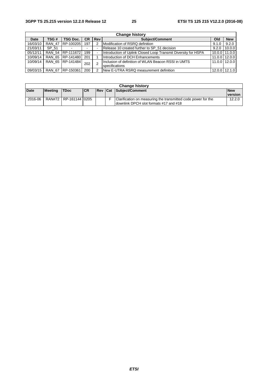|             | <b>Change history</b> |                  |           |                |                                                                       |        |                   |  |  |
|-------------|-----------------------|------------------|-----------|----------------|-----------------------------------------------------------------------|--------|-------------------|--|--|
| <b>Date</b> | TSG #                 | TSG Doc.         | <b>CR</b> | <b>Rev</b>     | <b>Subject/Comment</b>                                                | Old    | <b>New</b>        |  |  |
| 16/03/10    | <b>RAN 47</b>         | RP-100205        | 197       |                | Modification of RSRQ definition                                       | 9.1.0  | 9.2.0             |  |  |
| 21/03/11    | SP 51                 |                  |           | ۰              | Release 10 created further to SP 51 decision                          | 9.2.0  | 10.0.0            |  |  |
| 05/12/11    | <b>RAN 54</b>         | RP-111672        | 199       | $\overline{a}$ | Introduction of Uplink Closed Loop Transmit Diversity for HSPA        | 10.0.0 | 11.0.0            |  |  |
| 10/09/14    | <b>RAN 65</b>         | RP-141480        | 201       |                | Introduction of DCH Enhancements                                      | 11.0.0 | 12.0.0            |  |  |
| 10/09/14    |                       | RAN 65 RP-141484 | 202       | 2              | Inclusion of definition of WLAN Beacon RSSI in UMTS<br>specifications | 11.0.0 | 12.0.0            |  |  |
| 09/03/15    | <b>RAN 67</b>         | RP-150361        | 200       |                | <b>INew E-UTRA RSRQ measurement definition</b>                        |        | $12.0.0$   12.1.0 |  |  |

| <b>Change history</b> |                |                       |           |  |  |                                                                                                         |                              |
|-----------------------|----------------|-----------------------|-----------|--|--|---------------------------------------------------------------------------------------------------------|------------------------------|
| <b>Date</b>           | <b>Meeting</b> | <b>TDoc</b>           | <b>CR</b> |  |  | <b>Rev Cat Subject/Comment</b>                                                                          | <b>New</b><br><b>version</b> |
| 2016-06               |                | RAN#72 RP-161144 0205 |           |  |  | Clarification on measuring the transmitted code power for the<br>downlink DPCH slot formats #17 and #18 | 12.2.0                       |